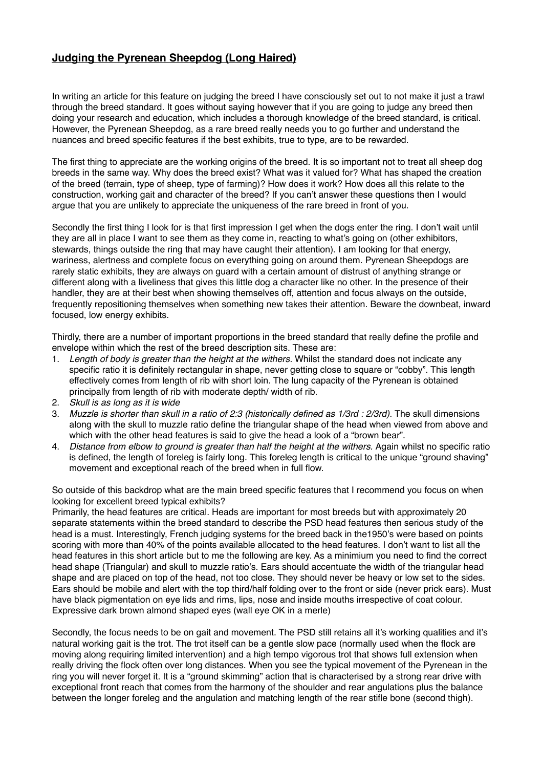## **Judging the Pyrenean Sheepdog (Long Haired)**

In writing an article for this feature on judging the breed I have consciously set out to not make it just a trawl through the breed standard. It goes without saying however that if you are going to judge any breed then doing your research and education, which includes a thorough knowledge of the breed standard, is critical. However, the Pyrenean Sheepdog, as a rare breed really needs you to go further and understand the nuances and breed specific features if the best exhibits, true to type, are to be rewarded.

The first thing to appreciate are the working origins of the breed. It is so important not to treat all sheep dog breeds in the same way. Why does the breed exist? What was it valued for? What has shaped the creation of the breed (terrain, type of sheep, type of farming)? How does it work? How does all this relate to the construction, working gait and character of the breed? If you can't answer these questions then I would argue that you are unlikely to appreciate the uniqueness of the rare breed in front of you.

Secondly the first thing I look for is that first impression I get when the dogs enter the ring. I don't wait until they are all in place I want to see them as they come in, reacting to what's going on (other exhibitors, stewards, things outside the ring that may have caught their attention). I am looking for that energy, wariness, alertness and complete focus on everything going on around them. Pyrenean Sheepdogs are rarely static exhibits, they are always on guard with a certain amount of distrust of anything strange or different along with a liveliness that gives this little dog a character like no other. In the presence of their handler, they are at their best when showing themselves off, attention and focus always on the outside, frequently repositioning themselves when something new takes their attention. Beware the downbeat, inward focused, low energy exhibits.

Thirdly, there are a number of important proportions in the breed standard that really define the profile and envelope within which the rest of the breed description sits. These are:

- 1. *Length of body is greater than the height at the withers.* Whilst the standard does not indicate any specific ratio it is definitely rectangular in shape, never getting close to square or "cobby". This length effectively comes from length of rib with short loin. The lung capacity of the Pyrenean is obtained principally from length of rib with moderate depth/ width of rib.
- 2. *Skull is as long as it is wide*
- 3. *Muzzle is shorter than skull in a ratio of 2:3 (historically defined as 1/3rd : 2/3rd).* The skull dimensions along with the skull to muzzle ratio define the triangular shape of the head when viewed from above and which with the other head features is said to give the head a look of a "brown bear".
- 4. *Distance from elbow to ground is greater than half the height at the withers.* Again whilst no specific ratio is defined, the length of foreleg is fairly long. This foreleg length is critical to the unique "ground shaving" movement and exceptional reach of the breed when in full flow.

So outside of this backdrop what are the main breed specific features that I recommend you focus on when looking for excellent breed typical exhibits?

Primarily, the head features are critical. Heads are important for most breeds but with approximately 20 separate statements within the breed standard to describe the PSD head features then serious study of the head is a must. Interestingly, French judging systems for the breed back in the1950's were based on points scoring with more than 40% of the points available allocated to the head features. I don't want to list all the head features in this short article but to me the following are key. As a minimium you need to find the correct head shape (Triangular) and skull to muzzle ratio's. Ears should accentuate the width of the triangular head shape and are placed on top of the head, not too close. They should never be heavy or low set to the sides. Ears should be mobile and alert with the top third/half folding over to the front or side (never prick ears). Must have black pigmentation on eye lids and rims, lips, nose and inside mouths irrespective of coat colour. Expressive dark brown almond shaped eyes (wall eye OK in a merle)

Secondly, the focus needs to be on gait and movement. The PSD still retains all it's working qualities and it's natural working gait is the trot. The trot itself can be a gentle slow pace (normally used when the flock are moving along requiring limited intervention) and a high tempo vigorous trot that shows full extension when really driving the flock often over long distances. When you see the typical movement of the Pyrenean in the ring you will never forget it. It is a "ground skimming" action that is characterised by a strong rear drive with exceptional front reach that comes from the harmony of the shoulder and rear angulations plus the balance between the longer foreleg and the angulation and matching length of the rear stifle bone (second thigh).